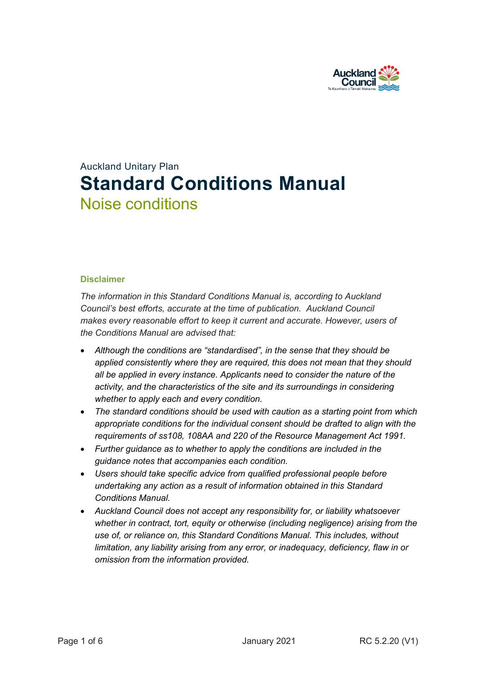

# Auckland Unitary Plan **Standard Conditions Manual** Noise conditions

#### **Disclaimer**

*The information in this Standard Conditions Manual is, according to Auckland Council's best efforts, accurate at the time of publication. Auckland Council makes every reasonable effort to keep it current and accurate. However, users of the Conditions Manual are advised that:* 

- *Although the conditions are "standardised", in the sense that they should be applied consistently where they are required, this does not mean that they should all be applied in every instance. Applicants need to consider the nature of the activity, and the characteristics of the site and its surroundings in considering whether to apply each and every condition.*
- *The standard conditions should be used with caution as a starting point from which appropriate conditions for the individual consent should be drafted to align with the requirements of ss108, 108AA and 220 of the Resource Management Act 1991.*
- *Further guidance as to whether to apply the conditions are included in the guidance notes that accompanies each condition.*
- *Users should take specific advice from qualified professional people before undertaking any action as a result of information obtained in this Standard Conditions Manual.*
- *Auckland Council does not accept any responsibility for, or liability whatsoever whether in contract, tort, equity or otherwise (including negligence) arising from the use of, or reliance on, this Standard Conditions Manual. This includes, without limitation, any liability arising from any error, or inadequacy, deficiency, flaw in or omission from the information provided.*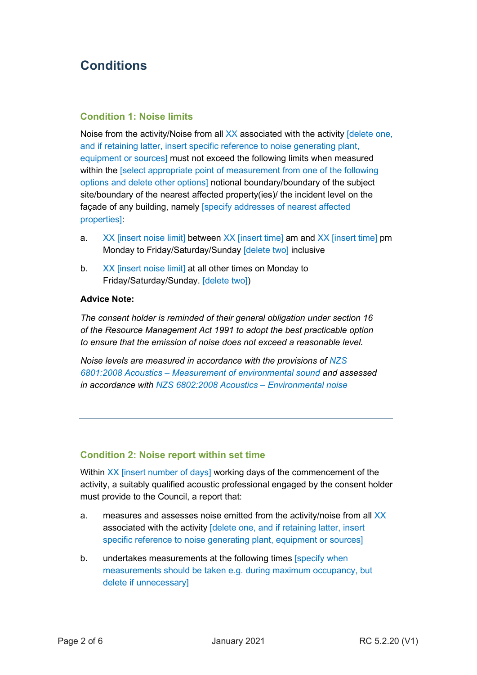# **Conditions**

# **Condition 1: Noise limits**

Noise from the activity/Noise from all XX associated with the activity [delete one, and if retaining latter, insert specific reference to noise generating plant, equipment or sources] must not exceed the following limits when measured within the [select appropriate point of measurement from one of the following options and delete other options] notional boundary/boundary of the subject site/boundary of the nearest affected property(ies)/ the incident level on the façade of any building, namely [specify addresses of nearest affected properties]:

- a. XX [insert noise limit] between XX [insert time] am and XX [insert time] pm Monday to Friday/Saturday/Sunday [delete two] inclusive
- b. XX [insert noise limit] at all other times on Monday to Friday/Saturday/Sunday. [delete two])

#### **Advice Note:**

*The consent holder is reminded of their general obligation under section 16 of the Resource Management Act 1991 to adopt the best practicable option to ensure that the emission of noise does not exceed a reasonable level.* 

*Noise levels are measured in accordance with the provisions of NZS 6801:2008 Acoustics – Measurement of environmental sound and assessed in accordance with NZS 6802:2008 Acoustics – Environmental noise*

# **Condition 2: Noise report within set time**

Within XX [insert number of days] working days of the commencement of the activity, a suitably qualified acoustic professional engaged by the consent holder must provide to the Council, a report that:

- a. measures and assesses noise emitted from the activity/noise from all XX associated with the activity [delete one, and if retaining latter, insert specific reference to noise generating plant, equipment or sources]
- b. undertakes measurements at the following times [specify when measurements should be taken e.g. during maximum occupancy, but delete if unnecessary]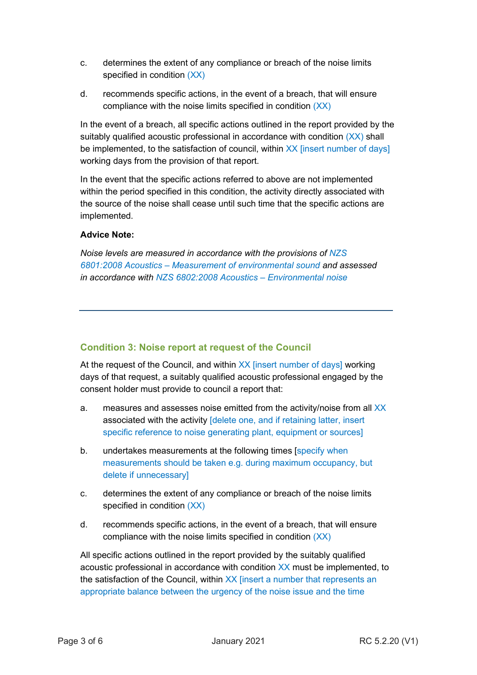- c. determines the extent of any compliance or breach of the noise limits specified in condition (XX)
- d. recommends specific actions, in the event of a breach, that will ensure compliance with the noise limits specified in condition (XX)

In the event of a breach, all specific actions outlined in the report provided by the suitably qualified acoustic professional in accordance with condition  $(XX)$  shall be implemented, to the satisfaction of council, within XX [insert number of days] working days from the provision of that report.

In the event that the specific actions referred to above are not implemented within the period specified in this condition, the activity directly associated with the source of the noise shall cease until such time that the specific actions are implemented.

# **Advice Note:**

*Noise levels are measured in accordance with the provisions of NZS 6801:2008 Acoustics – Measurement of environmental sound and assessed in accordance with NZS 6802:2008 Acoustics – Environmental noise*

# **Condition 3: Noise report at request of the Council**

At the request of the Council, and within XX [insert number of days] working days of that request, a suitably qualified acoustic professional engaged by the consent holder must provide to council a report that:

- a. measures and assesses noise emitted from the activity/noise from all XX associated with the activity **[delete one, and if retaining latter, insert** specific reference to noise generating plant, equipment or sources]
- b. undertakes measurements at the following times [specify when measurements should be taken e.g. during maximum occupancy, but delete if unnecessary]
- c. determines the extent of any compliance or breach of the noise limits specified in condition (XX)
- d. recommends specific actions, in the event of a breach, that will ensure compliance with the noise limits specified in condition (XX)

All specific actions outlined in the report provided by the suitably qualified acoustic professional in accordance with condition XX must be implemented, to the satisfaction of the Council, within XX [insert a number that represents an appropriate balance between the urgency of the noise issue and the time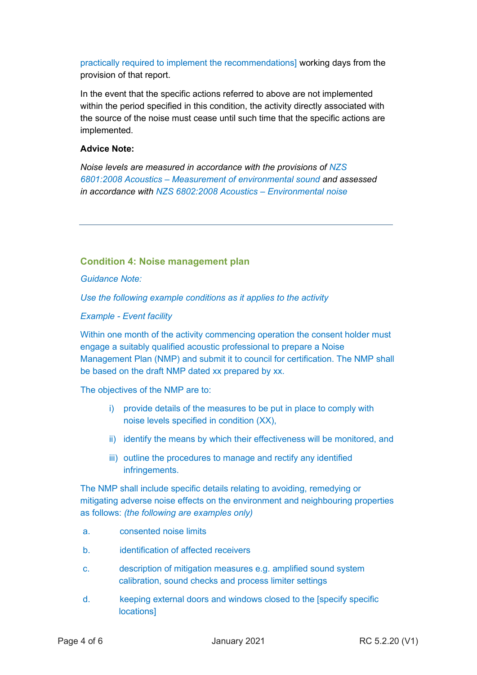practically required to implement the recommendations] working days from the provision of that report.

In the event that the specific actions referred to above are not implemented within the period specified in this condition, the activity directly associated with the source of the noise must cease until such time that the specific actions are implemented.

#### **Advice Note:**

*Noise levels are measured in accordance with the provisions of NZS 6801:2008 Acoustics – Measurement of environmental sound and assessed in accordance with NZS 6802:2008 Acoustics – Environmental noise*

# **Condition 4: Noise management plan**

*Guidance Note:*

*Use the following example conditions as it applies to the activity*

*Example - Event facility*

Within one month of the activity commencing operation the consent holder must engage a suitably qualified acoustic professional to prepare a Noise Management Plan (NMP) and submit it to council for certification. The NMP shall be based on the draft NMP dated xx prepared by xx.

The objectives of the NMP are to:

- i) provide details of the measures to be put in place to comply with noise levels specified in condition (XX),
- ii) identify the means by which their effectiveness will be monitored, and
- iii) outline the procedures to manage and rectify any identified infringements.

The NMP shall include specific details relating to avoiding, remedying or mitigating adverse noise effects on the environment and neighbouring properties as follows: *(the following are examples only)*

- a. consented noise limits
- b. identification of affected receivers
- c. description of mitigation measures e.g. amplified sound system calibration, sound checks and process limiter settings
- d. keeping external doors and windows closed to the [specify specific **locations1**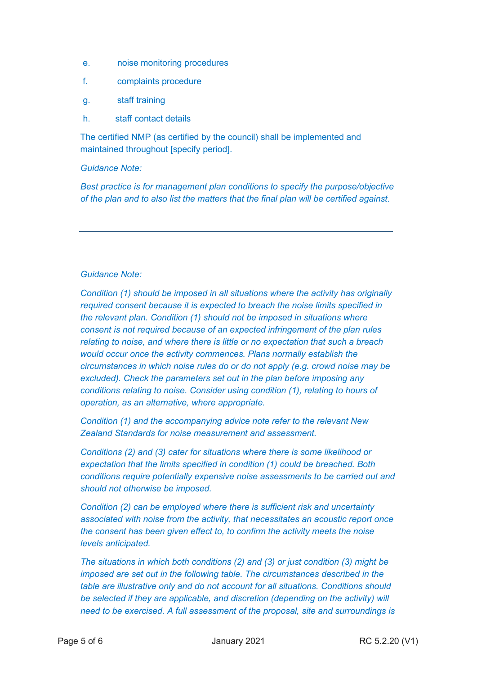- e. noise monitoring procedures
- f. complaints procedure
- g. staff training
- h. staff contact details

The certified NMP (as certified by the council) shall be implemented and maintained throughout [specify period].

#### *Guidance Note:*

*Best practice is for management plan conditions to specify the purpose/objective of the plan and to also list the matters that the final plan will be certified against.*

#### *Guidance Note:*

*Condition (1) should be imposed in all situations where the activity has originally required consent because it is expected to breach the noise limits specified in the relevant plan. Condition (1) should not be imposed in situations where consent is not required because of an expected infringement of the plan rules relating to noise, and where there is little or no expectation that such a breach would occur once the activity commences. Plans normally establish the circumstances in which noise rules do or do not apply (e.g. crowd noise may be excluded). Check the parameters set out in the plan before imposing any conditions relating to noise. Consider using condition (1), relating to hours of operation, as an alternative, where appropriate.*

*Condition (1) and the accompanying advice note refer to the relevant New Zealand Standards for noise measurement and assessment.* 

*Conditions (2) and (3) cater for situations where there is some likelihood or expectation that the limits specified in condition (1) could be breached. Both conditions require potentially expensive noise assessments to be carried out and should not otherwise be imposed.* 

*Condition (2) can be employed where there is sufficient risk and uncertainty associated with noise from the activity, that necessitates an acoustic report once the consent has been given effect to, to confirm the activity meets the noise levels anticipated.* 

*The situations in which both conditions (2) and (3) or just condition (3) might be imposed are set out in the following table. The circumstances described in the table are illustrative only and do not account for all situations. Conditions should be selected if they are applicable, and discretion (depending on the activity) will need to be exercised. A full assessment of the proposal, site and surroundings is*